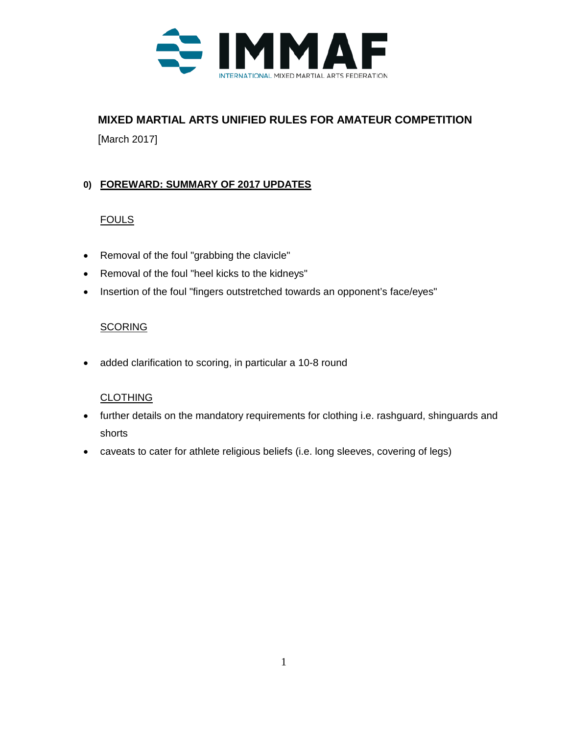

# **MIXED MARTIAL ARTS UNIFIED RULES FOR AMATEUR COMPETITION**

[March 2017]

## **0) FOREWARD: SUMMARY OF 2017 UPDATES**

## **FOULS**

- Removal of the foul "grabbing the clavicle"
- Removal of the foul "heel kicks to the kidneys"
- Insertion of the foul "fingers outstretched towards an opponent's face/eyes"

## **SCORING**

• added clarification to scoring, in particular a 10-8 round

## **CLOTHING**

- further details on the mandatory requirements for clothing i.e. rashguard, shinguards and shorts
- caveats to cater for athlete religious beliefs (i.e. long sleeves, covering of legs)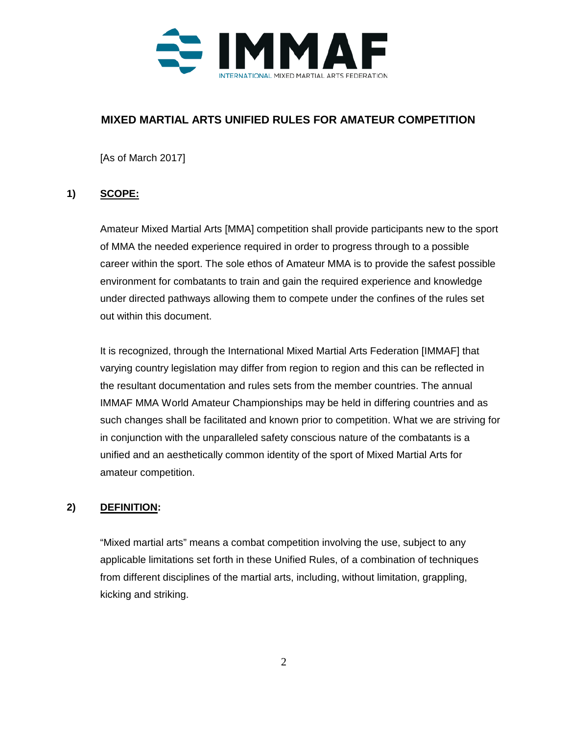

## **MIXED MARTIAL ARTS UNIFIED RULES FOR AMATEUR COMPETITION**

[As of March 2017]

## **1) SCOPE:**

Amateur Mixed Martial Arts [MMA] competition shall provide participants new to the sport of MMA the needed experience required in order to progress through to a possible career within the sport. The sole ethos of Amateur MMA is to provide the safest possible environment for combatants to train and gain the required experience and knowledge under directed pathways allowing them to compete under the confines of the rules set out within this document.

It is recognized, through the International Mixed Martial Arts Federation [IMMAF] that varying country legislation may differ from region to region and this can be reflected in the resultant documentation and rules sets from the member countries. The annual IMMAF MMA World Amateur Championships may be held in differing countries and as such changes shall be facilitated and known prior to competition. What we are striving for in conjunction with the unparalleled safety conscious nature of the combatants is a unified and an aesthetically common identity of the sport of Mixed Martial Arts for amateur competition.

## **2) DEFINITION:**

"Mixed martial arts" means a combat competition involving the use, subject to any applicable limitations set forth in these Unified Rules, of a combination of techniques from different disciplines of the martial arts, including, without limitation, grappling, kicking and striking.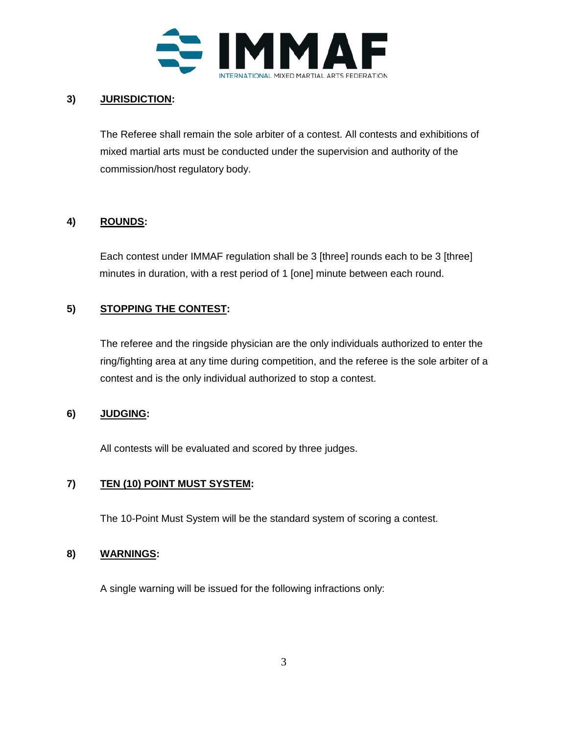

### **3) JURISDICTION:**

The Referee shall remain the sole arbiter of a contest. All contests and exhibitions of mixed martial arts must be conducted under the supervision and authority of the commission/host regulatory body.

### **4) ROUNDS:**

Each contest under IMMAF regulation shall be 3 [three] rounds each to be 3 [three] minutes in duration, with a rest period of 1 [one] minute between each round.

### **5) STOPPING THE CONTEST:**

The referee and the ringside physician are the only individuals authorized to enter the ring/fighting area at any time during competition, and the referee is the sole arbiter of a contest and is the only individual authorized to stop a contest.

#### **6) JUDGING:**

All contests will be evaluated and scored by three judges.

#### **7) TEN (10) POINT MUST SYSTEM:**

The 10-Point Must System will be the standard system of scoring a contest.

#### **8) WARNINGS:**

A single warning will be issued for the following infractions only: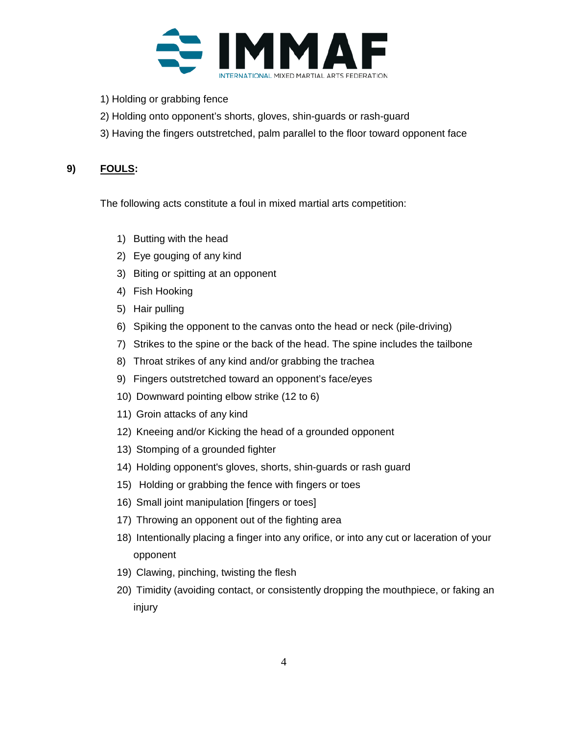

- 1) Holding or grabbing fence
- 2) Holding onto opponent's shorts, gloves, shin-guards or rash-guard
- 3) Having the fingers outstretched, palm parallel to the floor toward opponent face

### **9) FOULS:**

The following acts constitute a foul in mixed martial arts competition:

- 1) Butting with the head
- 2) Eye gouging of any kind
- 3) Biting or spitting at an opponent
- 4) Fish Hooking
- 5) Hair pulling
- 6) Spiking the opponent to the canvas onto the head or neck (pile-driving)
- 7) Strikes to the spine or the back of the head. The spine includes the tailbone
- 8) Throat strikes of any kind and/or grabbing the trachea
- 9) Fingers outstretched toward an opponent's face/eyes
- 10) Downward pointing elbow strike (12 to 6)
- 11) Groin attacks of any kind
- 12) Kneeing and/or Kicking the head of a grounded opponent
- 13) Stomping of a grounded fighter
- 14) Holding opponent's gloves, shorts, shin-guards or rash guard
- 15) Holding or grabbing the fence with fingers or toes
- 16) Small joint manipulation [fingers or toes]
- 17) Throwing an opponent out of the fighting area
- 18) Intentionally placing a finger into any orifice, or into any cut or laceration of your opponent
- 19) Clawing, pinching, twisting the flesh
- 20) Timidity (avoiding contact, or consistently dropping the mouthpiece, or faking an injury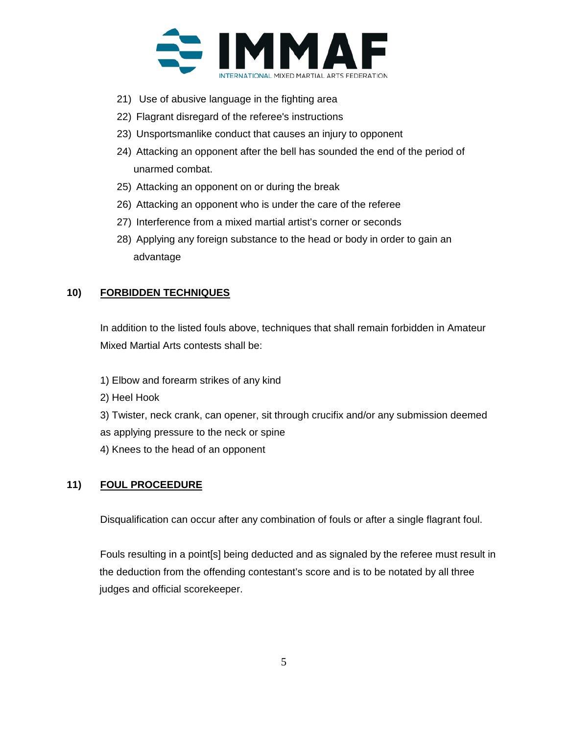

- 21) Use of abusive language in the fighting area
- 22) Flagrant disregard of the referee's instructions
- 23) Unsportsmanlike conduct that causes an injury to opponent
- 24) Attacking an opponent after the bell has sounded the end of the period of unarmed combat.
- 25) Attacking an opponent on or during the break
- 26) Attacking an opponent who is under the care of the referee
- 27) Interference from a mixed martial artist's corner or seconds
- 28) Applying any foreign substance to the head or body in order to gain an advantage

#### **10) FORBIDDEN TECHNIQUES**

In addition to the listed fouls above, techniques that shall remain forbidden in Amateur Mixed Martial Arts contests shall be:

- 1) Elbow and forearm strikes of any kind
- 2) Heel Hook
- 3) Twister, neck crank, can opener, sit through crucifix and/or any submission deemed as applying pressure to the neck or spine
- 4) Knees to the head of an opponent

#### **11) FOUL PROCEEDURE**

Disqualification can occur after any combination of fouls or after a single flagrant foul.

Fouls resulting in a point[s] being deducted and as signaled by the referee must result in the deduction from the offending contestant's score and is to be notated by all three judges and official scorekeeper.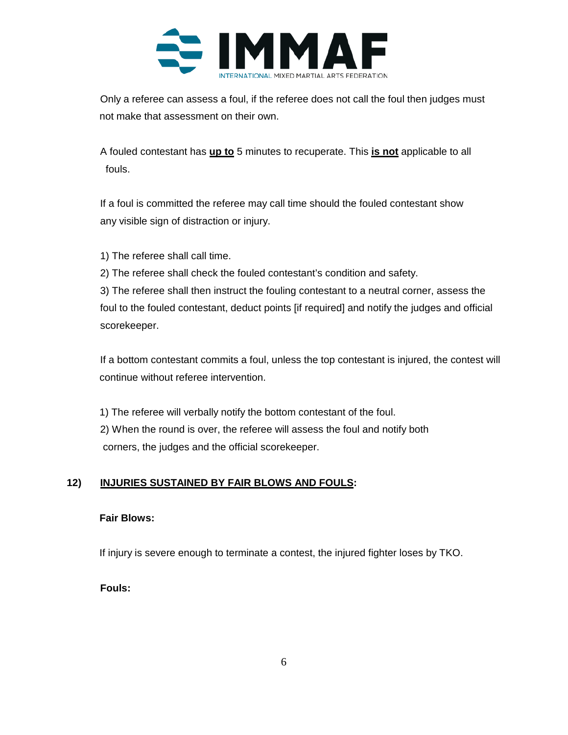

Only a referee can assess a foul, if the referee does not call the foul then judges must not make that assessment on their own.

A fouled contestant has **up to** 5 minutes to recuperate. This **is not** applicable to all fouls.

If a foul is committed the referee may call time should the fouled contestant show any visible sign of distraction or injury.

1) The referee shall call time.

2) The referee shall check the fouled contestant's condition and safety.

3) The referee shall then instruct the fouling contestant to a neutral corner, assess the foul to the fouled contestant, deduct points [if required] and notify the judges and official scorekeeper.

If a bottom contestant commits a foul, unless the top contestant is injured, the contest will continue without referee intervention.

1) The referee will verbally notify the bottom contestant of the foul. 2) When the round is over, the referee will assess the foul and notify both corners, the judges and the official scorekeeper.

## **12) INJURIES SUSTAINED BY FAIR BLOWS AND FOULS:**

#### **Fair Blows:**

If injury is severe enough to terminate a contest, the injured fighter loses by TKO.

**Fouls:**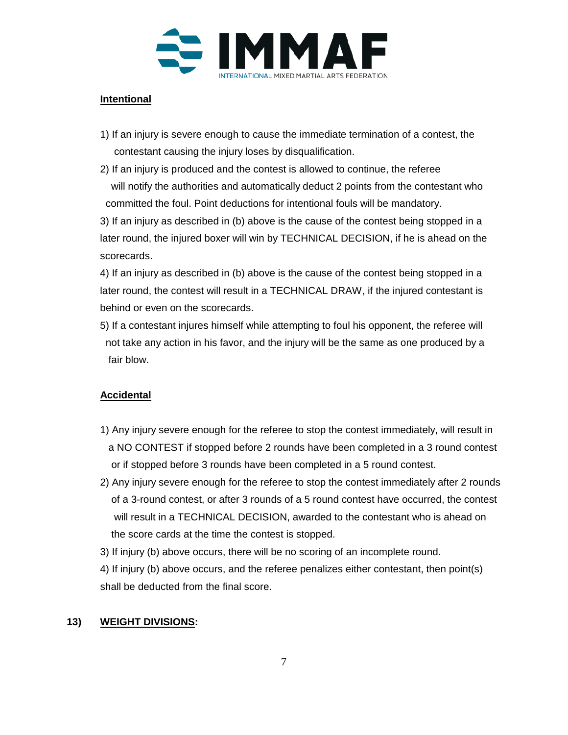

### **Intentional**

- 1) If an injury is severe enough to cause the immediate termination of a contest, the contestant causing the injury loses by disqualification.
- 2) If an injury is produced and the contest is allowed to continue, the referee will notify the authorities and automatically deduct 2 points from the contestant who committed the foul. Point deductions for intentional fouls will be mandatory.

3) If an injury as described in (b) above is the cause of the contest being stopped in a later round, the injured boxer will win by TECHNICAL DECISION, if he is ahead on the scorecards.

4) If an injury as described in (b) above is the cause of the contest being stopped in a later round, the contest will result in a TECHNICAL DRAW, if the injured contestant is behind or even on the scorecards.

5) If a contestant injures himself while attempting to foul his opponent, the referee will not take any action in his favor, and the injury will be the same as one produced by a fair blow.

#### **Accidental**

- 1) Any injury severe enough for the referee to stop the contest immediately, will result in a NO CONTEST if stopped before 2 rounds have been completed in a 3 round contest or if stopped before 3 rounds have been completed in a 5 round contest.
- 2) Any injury severe enough for the referee to stop the contest immediately after 2 rounds of a 3-round contest, or after 3 rounds of a 5 round contest have occurred, the contest will result in a TECHNICAL DECISION, awarded to the contestant who is ahead on the score cards at the time the contest is stopped.
- 3) If injury (b) above occurs, there will be no scoring of an incomplete round.
- 4) If injury (b) above occurs, and the referee penalizes either contestant, then point(s) shall be deducted from the final score.

#### **13) WEIGHT DIVISIONS:**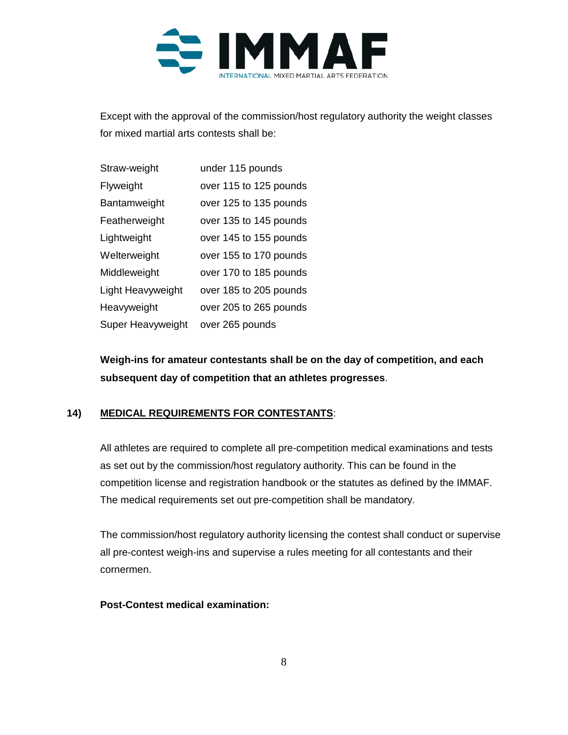

Except with the approval of the commission/host regulatory authority the weight classes for mixed martial arts contests shall be:

| Straw-weight      | under 115 pounds       |
|-------------------|------------------------|
| Flyweight         | over 115 to 125 pounds |
| Bantamweight      | over 125 to 135 pounds |
| Featherweight     | over 135 to 145 pounds |
| Lightweight       | over 145 to 155 pounds |
| Welterweight      | over 155 to 170 pounds |
| Middleweight      | over 170 to 185 pounds |
| Light Heavyweight | over 185 to 205 pounds |
| Heavyweight       | over 205 to 265 pounds |
| Super Heavyweight | over 265 pounds        |

**Weigh-ins for amateur contestants shall be on the day of competition, and each subsequent day of competition that an athletes progresses**.

## **14) MEDICAL REQUIREMENTS FOR CONTESTANTS**:

All athletes are required to complete all pre-competition medical examinations and tests as set out by the commission/host regulatory authority. This can be found in the competition license and registration handbook or the statutes as defined by the IMMAF. The medical requirements set out pre-competition shall be mandatory.

The commission/host regulatory authority licensing the contest shall conduct or supervise all pre-contest weigh-ins and supervise a rules meeting for all contestants and their cornermen.

#### **Post-Contest medical examination:**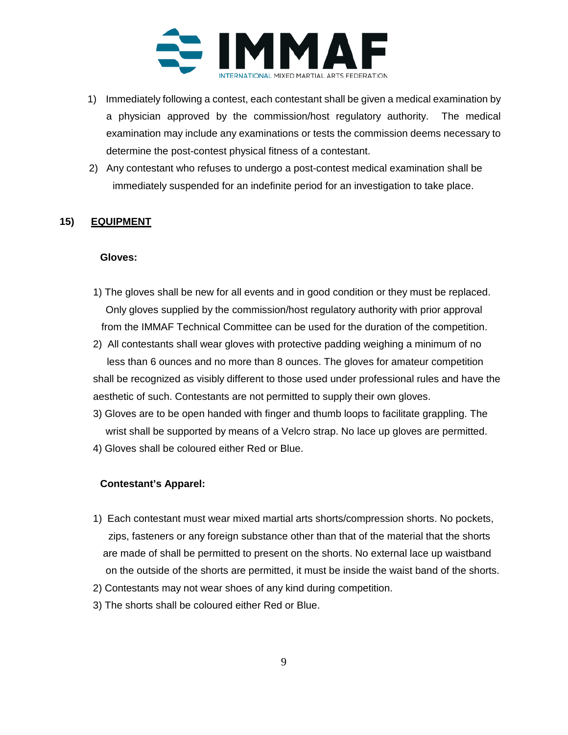

- 1) Immediately following a contest, each contestant shall be given a medical examination by a physician approved by the commission/host regulatory authority. The medical examination may include any examinations or tests the commission deems necessary to determine the post-contest physical fitness of a contestant.
- 2) Any contestant who refuses to undergo a post-contest medical examination shall be immediately suspended for an indefinite period for an investigation to take place.

#### **15) EQUIPMENT**

#### **Gloves:**

- 1) The gloves shall be new for all events and in good condition or they must be replaced. Only gloves supplied by the commission/host regulatory authority with prior approval from the IMMAF Technical Committee can be used for the duration of the competition.
- 2) All contestants shall wear gloves with protective padding weighing a minimum of no less than 6 ounces and no more than 8 ounces. The gloves for amateur competition shall be recognized as visibly different to those used under professional rules and have the aesthetic of such. Contestants are not permitted to supply their own gloves.
- 3) Gloves are to be open handed with finger and thumb loops to facilitate grappling. The wrist shall be supported by means of a Velcro strap. No lace up gloves are permitted.
- 4) Gloves shall be coloured either Red or Blue.

#### **Contestant's Apparel:**

- 1) Each contestant must wear mixed martial arts shorts/compression shorts. No pockets, zips, fasteners or any foreign substance other than that of the material that the shorts are made of shall be permitted to present on the shorts. No external lace up waistband on the outside of the shorts are permitted, it must be inside the waist band of the shorts.
- 2) Contestants may not wear shoes of any kind during competition.
- 3) The shorts shall be coloured either Red or Blue.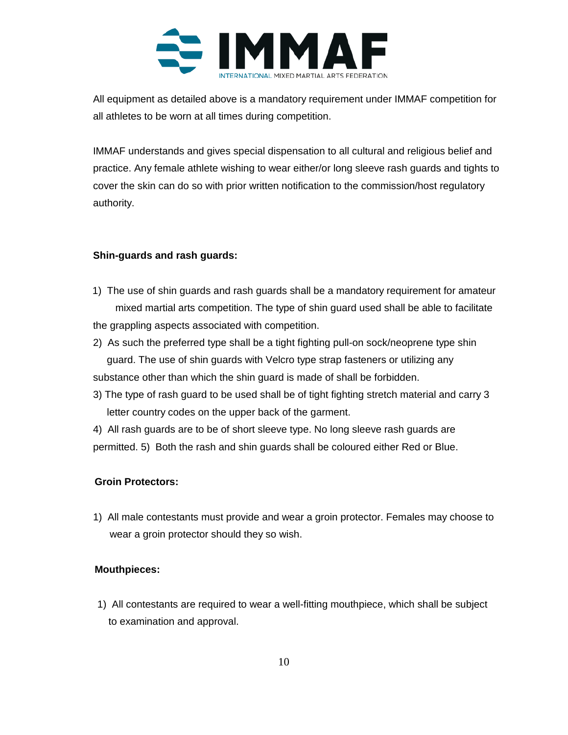

All equipment as detailed above is a mandatory requirement under IMMAF competition for all athletes to be worn at all times during competition.

IMMAF understands and gives special dispensation to all cultural and religious belief and practice. Any female athlete wishing to wear either/or long sleeve rash guards and tights to cover the skin can do so with prior written notification to the commission/host regulatory authority.

#### **Shin-guards and rash guards:**

- 1) The use of shin guards and rash guards shall be a mandatory requirement for amateur mixed martial arts competition. The type of shin guard used shall be able to facilitate the grappling aspects associated with competition.
- 2) As such the preferred type shall be a tight fighting pull-on sock/neoprene type shin guard. The use of shin guards with Velcro type strap fasteners or utilizing any substance other than which the shin guard is made of shall be forbidden.
- 3) The type of rash guard to be used shall be of tight fighting stretch material and carry 3 letter country codes on the upper back of the garment.

4) All rash guards are to be of short sleeve type. No long sleeve rash guards are permitted. 5) Both the rash and shin guards shall be coloured either Red or Blue.

#### **Groin Protectors:**

1) All male contestants must provide and wear a groin protector. Females may choose to wear a groin protector should they so wish.

#### **Mouthpieces:**

 1) All contestants are required to wear a well-fitting mouthpiece, which shall be subject to examination and approval.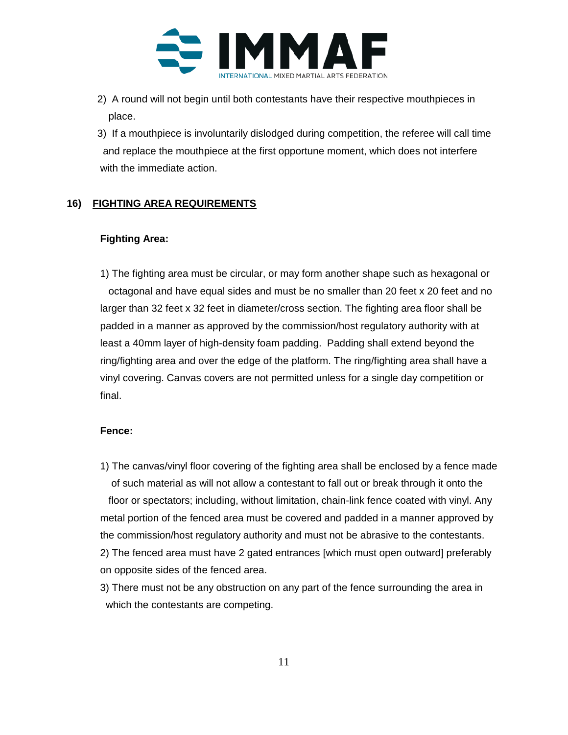

- 2) A round will not begin until both contestants have their respective mouthpieces in place.
- 3) If a mouthpiece is involuntarily dislodged during competition, the referee will call time and replace the mouthpiece at the first opportune moment, which does not interfere with the immediate action.

#### **16) FIGHTING AREA REQUIREMENTS**

#### **Fighting Area:**

1) The fighting area must be circular, or may form another shape such as hexagonal or octagonal and have equal sides and must be no smaller than 20 feet x 20 feet and no larger than 32 feet x 32 feet in diameter/cross section. The fighting area floor shall be padded in a manner as approved by the commission/host regulatory authority with at least a 40mm layer of high-density foam padding. Padding shall extend beyond the ring/fighting area and over the edge of the platform. The ring/fighting area shall have a vinyl covering. Canvas covers are not permitted unless for a single day competition or final.

#### **Fence:**

- 1) The canvas/vinyl floor covering of the fighting area shall be enclosed by a fence made of such material as will not allow a contestant to fall out or break through it onto the floor or spectators; including, without limitation, chain-link fence coated with vinyl. Any metal portion of the fenced area must be covered and padded in a manner approved by the commission/host regulatory authority and must not be abrasive to the contestants. 2) The fenced area must have 2 gated entrances [which must open outward] preferably on opposite sides of the fenced area.
- 3) There must not be any obstruction on any part of the fence surrounding the area in which the contestants are competing.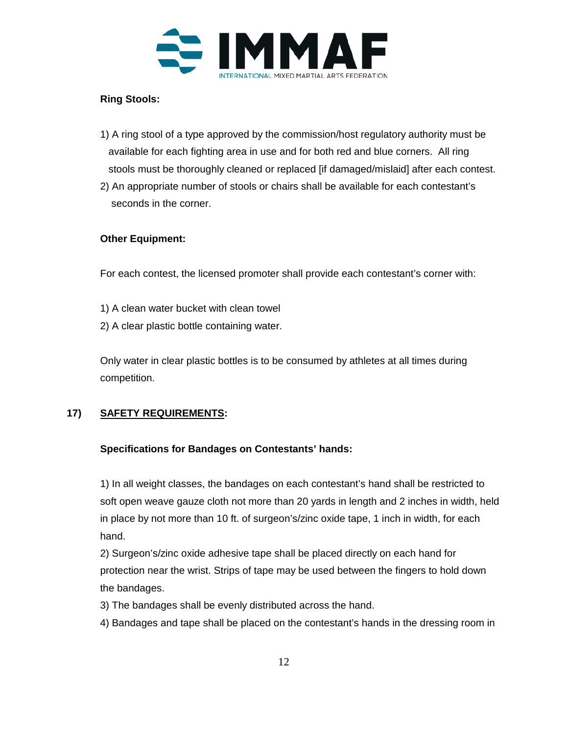

### **Ring Stools:**

- 1) A ring stool of a type approved by the commission/host regulatory authority must be available for each fighting area in use and for both red and blue corners. All ring stools must be thoroughly cleaned or replaced [if damaged/mislaid] after each contest.
- 2) An appropriate number of stools or chairs shall be available for each contestant's seconds in the corner.

#### **Other Equipment:**

For each contest, the licensed promoter shall provide each contestant's corner with:

- 1) A clean water bucket with clean towel
- 2) A clear plastic bottle containing water.

Only water in clear plastic bottles is to be consumed by athletes at all times during competition.

### **17) SAFETY REQUIREMENTS:**

#### **Specifications for Bandages on Contestants' hands:**

1) In all weight classes, the bandages on each contestant's hand shall be restricted to soft open weave gauze cloth not more than 20 yards in length and 2 inches in width, held in place by not more than 10 ft. of surgeon's/zinc oxide tape, 1 inch in width, for each hand.

2) Surgeon's/zinc oxide adhesive tape shall be placed directly on each hand for protection near the wrist. Strips of tape may be used between the fingers to hold down the bandages.

3) The bandages shall be evenly distributed across the hand.

4) Bandages and tape shall be placed on the contestant's hands in the dressing room in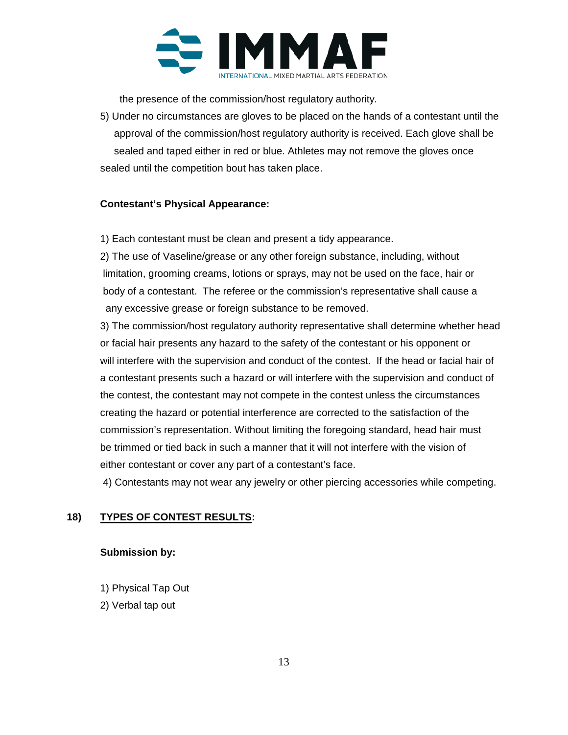

the presence of the commission/host regulatory authority.

5) Under no circumstances are gloves to be placed on the hands of a contestant until the approval of the commission/host regulatory authority is received. Each glove shall be sealed and taped either in red or blue. Athletes may not remove the gloves once sealed until the competition bout has taken place.

#### **Contestant's Physical Appearance:**

1) Each contestant must be clean and present a tidy appearance.

2) The use of Vaseline/grease or any other foreign substance, including, without limitation, grooming creams, lotions or sprays, may not be used on the face, hair or body of a contestant. The referee or the commission's representative shall cause a any excessive grease or foreign substance to be removed.

3) The commission/host regulatory authority representative shall determine whether head or facial hair presents any hazard to the safety of the contestant or his opponent or will interfere with the supervision and conduct of the contest. If the head or facial hair of a contestant presents such a hazard or will interfere with the supervision and conduct of the contest, the contestant may not compete in the contest unless the circumstances creating the hazard or potential interference are corrected to the satisfaction of the commission's representation. Without limiting the foregoing standard, head hair must be trimmed or tied back in such a manner that it will not interfere with the vision of either contestant or cover any part of a contestant's face.

4) Contestants may not wear any jewelry or other piercing accessories while competing.

#### **18) TYPES OF CONTEST RESULTS:**

#### **Submission by:**

- 1) Physical Tap Out
- 2) Verbal tap out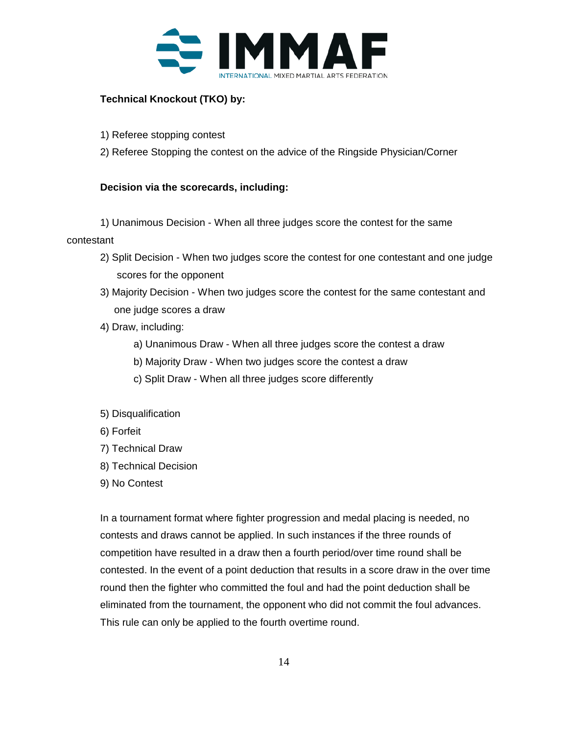

## **Technical Knockout (TKO) by:**

- 1) Referee stopping contest
- 2) Referee Stopping the contest on the advice of the Ringside Physician/Corner

#### **Decision via the scorecards, including:**

1) Unanimous Decision - When all three judges score the contest for the same contestant

- 2) Split Decision When two judges score the contest for one contestant and one judge scores for the opponent
- 3) Majority Decision When two judges score the contest for the same contestant and one judge scores a draw
- 4) Draw, including:
	- a) Unanimous Draw When all three judges score the contest a draw
	- b) Majority Draw When two judges score the contest a draw
	- c) Split Draw When all three judges score differently
- 5) Disqualification
- 6) Forfeit
- 7) Technical Draw
- 8) Technical Decision
- 9) No Contest

In a tournament format where fighter progression and medal placing is needed, no contests and draws cannot be applied. In such instances if the three rounds of competition have resulted in a draw then a fourth period/over time round shall be contested. In the event of a point deduction that results in a score draw in the over time round then the fighter who committed the foul and had the point deduction shall be eliminated from the tournament, the opponent who did not commit the foul advances. This rule can only be applied to the fourth overtime round.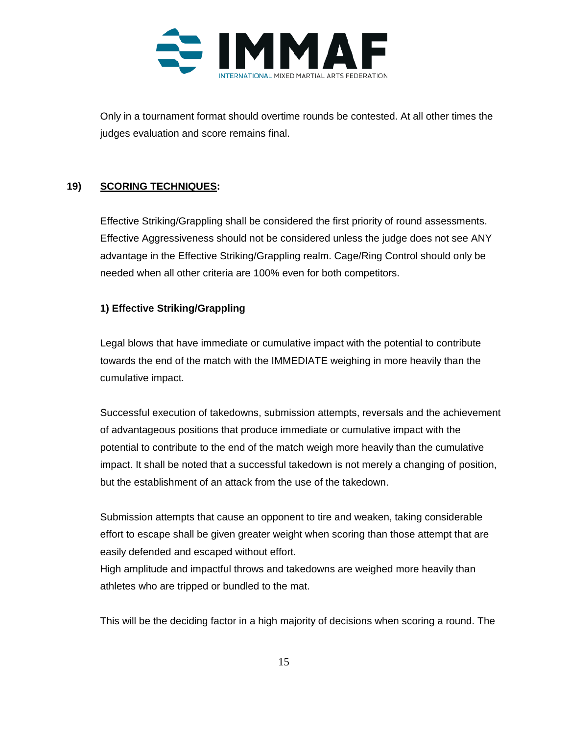

Only in a tournament format should overtime rounds be contested. At all other times the judges evaluation and score remains final.

## **19) SCORING TECHNIQUES:**

Effective Striking/Grappling shall be considered the first priority of round assessments. Effective Aggressiveness should not be considered unless the judge does not see ANY advantage in the Effective Striking/Grappling realm. Cage/Ring Control should only be needed when all other criteria are 100% even for both competitors.

#### **1) Effective Striking/Grappling**

Legal blows that have immediate or cumulative impact with the potential to contribute towards the end of the match with the IMMEDIATE weighing in more heavily than the cumulative impact.

Successful execution of takedowns, submission attempts, reversals and the achievement of advantageous positions that produce immediate or cumulative impact with the potential to contribute to the end of the match weigh more heavily than the cumulative impact. It shall be noted that a successful takedown is not merely a changing of position, but the establishment of an attack from the use of the takedown.

Submission attempts that cause an opponent to tire and weaken, taking considerable effort to escape shall be given greater weight when scoring than those attempt that are easily defended and escaped without effort.

High amplitude and impactful throws and takedowns are weighed more heavily than athletes who are tripped or bundled to the mat.

This will be the deciding factor in a high majority of decisions when scoring a round. The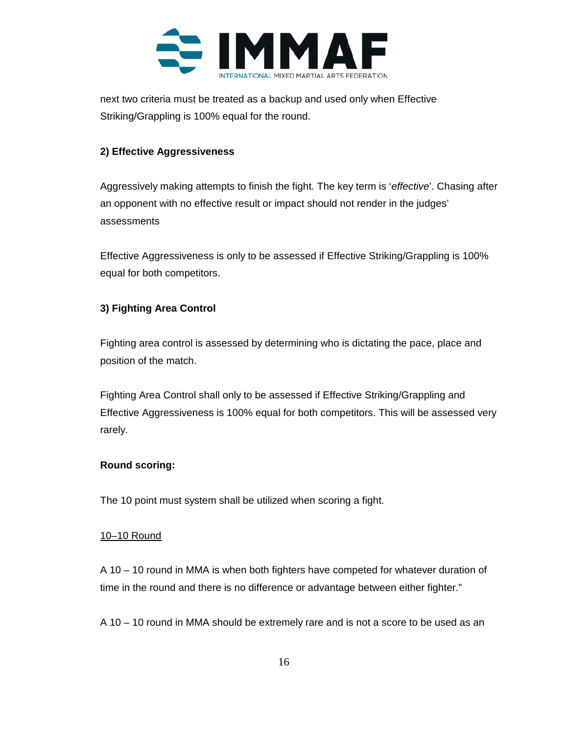

next two criteria must be treated as a backup and used only when Effective Striking/Grappling is 100% equal for the round.

### **2) Effective Aggressiveness**

Aggressively making attempts to finish the fight. The key term is '*effective*'. Chasing after an opponent with no effective result or impact should not render in the judges' assessments

Effective Aggressiveness is only to be assessed if Effective Striking/Grappling is 100% equal for both competitors.

## **3) Fighting Area Control**

Fighting area control is assessed by determining who is dictating the pace, place and position of the match.

Fighting Area Control shall only to be assessed if Effective Striking/Grappling and Effective Aggressiveness is 100% equal for both competitors. This will be assessed very rarely.

#### **Round scoring:**

The 10 point must system shall be utilized when scoring a fight.

#### 10–10 Round

A 10 – 10 round in MMA is when both fighters have competed for whatever duration of time in the round and there is no difference or advantage between either fighter."

A 10 – 10 round in MMA should be extremely rare and is not a score to be used as an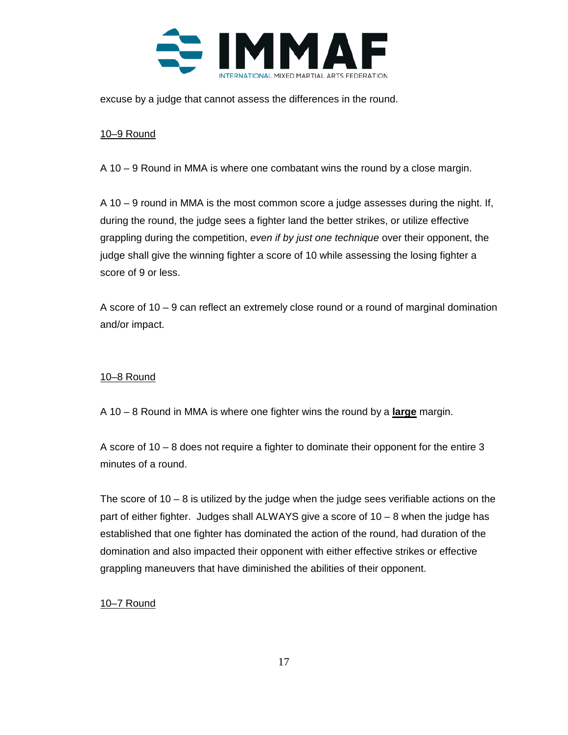

excuse by a judge that cannot assess the differences in the round.

#### 10–9 Round

A 10 – 9 Round in MMA is where one combatant wins the round by a close margin.

A 10 – 9 round in MMA is the most common score a judge assesses during the night. If, during the round, the judge sees a fighter land the better strikes, or utilize effective grappling during the competition, *even if by just one technique* over their opponent, the judge shall give the winning fighter a score of 10 while assessing the losing fighter a score of 9 or less.

A score of 10 – 9 can reflect an extremely close round or a round of marginal domination and/or impact.

#### 10–8 Round

A 10 – 8 Round in MMA is where one fighter wins the round by a **large** margin.

A score of 10 – 8 does not require a fighter to dominate their opponent for the entire 3 minutes of a round.

The score of  $10 - 8$  is utilized by the judge when the judge sees verifiable actions on the part of either fighter. Judges shall ALWAYS give a score of 10 – 8 when the judge has established that one fighter has dominated the action of the round, had duration of the domination and also impacted their opponent with either effective strikes or effective grappling maneuvers that have diminished the abilities of their opponent.

#### 10–7 Round